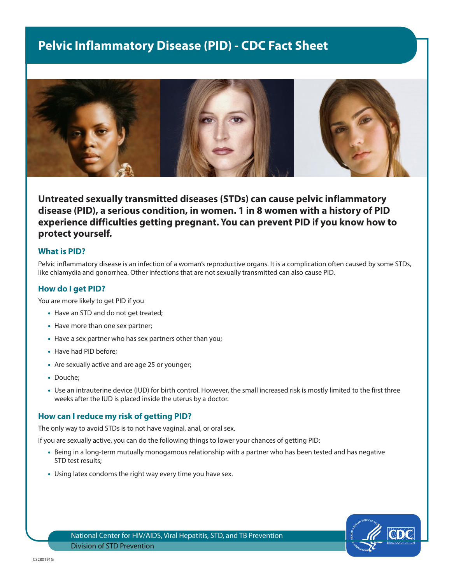# **Pelvic Inflammatory Disease (PID) - CDC Fact Sheet**



# **Untreated sexually transmitted diseases (STDs) can cause pelvic inflammatory disease (PID), a serious condition, in women. 1 in 8 women with a history of PID experience difficulties getting pregnant. You can prevent PID if you know how to protect yourself.**

### **What is PID?**

Pelvic inflammatory disease is an infection of a woman's reproductive organs. It is a complication often caused by some STDs, like chlamydia and gonorrhea. Other infections that are not sexually transmitted can also cause PID.

# **How do I get PID?**

You are more likely to get PID if you

- Have an STD and do not get treated;
- Have more than one sex partner;
- Have a sex partner who has sex partners other than you;
- Have had PID before;
- Are sexually active and are age 25 or younger;
- Douche;
- Use an intrauterine device (IUD) for birth control. However, the small increased risk is mostly limited to the first three weeks after the IUD is placed inside the uterus by a doctor.

#### **How can I reduce my risk of getting PID?**

The only way to avoid STDs is to not have vaginal, anal, or oral sex.

If you are sexually active, you can do the following things to lower your chances of getting PID:

- Being in a long-term mutually monogamous relationship with a partner who has been tested and has negative STD test results;
- Using latex condoms the right way every time you have sex.